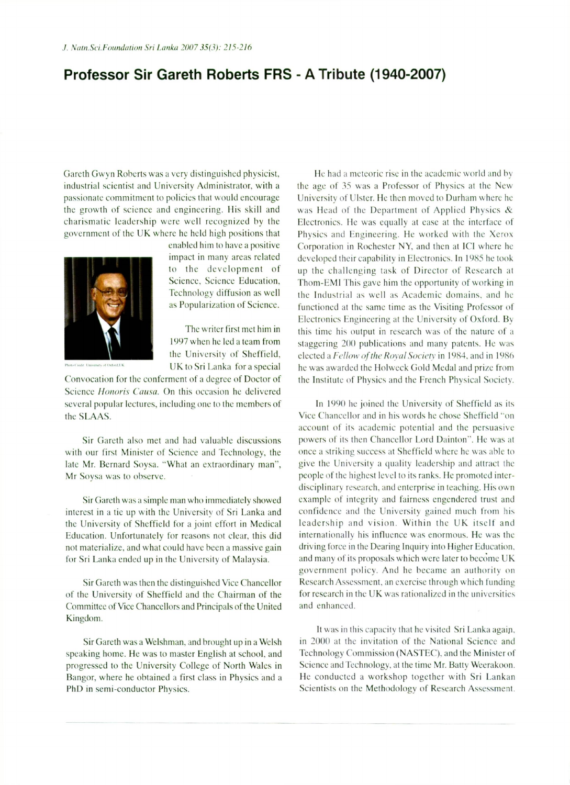## **Professor Sir Gareth Roberts FRS - A Tribute (1940-2007)**

Gareth Gwyn Roberts was a very distinguished physicist, industrial scientist and University Administrator, with a passionate commitment to policies that would encourage the growth of science and engineering. His skill and charismatic leadership were well recognized by the government of the UK where he held high positions that enabled him to have a positive



as Popularization of Science.

The writer first met him in 1997 when he led a team from the University of Sheffield. UK to Sri Lanka for a special

impact in many areas related to the development of Science, Science Education, Technology diffusion as well

Convocation for the conferment of a degree of Doctor of Science *Honoris Causa.* On this occasion he delivered several popular lectures, including one to the members of the SLAAS.

Sir Gareth also met and had valuable discussions with our first Minister of Science and Technology, the late Mr. Bernard Soysa. "What an extraordinary man", Mr Soysa was to observe.

Sir Gareth was a simple man who immediately showed interest in a tie up with the University of Sri Lanka and the University of Sheffield for a joint effort in Medical Education. Unfortunately for reasons not clear, this did not materialize, and what could have been a massive gain for Sri Lanka ended up in the University of Malaysia.

Sir Gareth was then the distinguished Vice Chancellor of the University of Sheffield and the Chairman of the Committee of Vice Chancellors and Principals of the United Kingdom.

Sir Gareth was a Welshman, and brought up in a Welsh speaking home. He was to master English at school, and progressed to the University College of North Wales in Bangor, where he obtained a first class in Physics and a PhD in semi-conductor Phvsics.

He had a meteoric rise in the academic world and by the age of 35 was a Professor of Physics at the New University of Ulster. He then moved to Durham where he was Head of the Department of Applied Physics & Electronics. He was equally at ease at the interface of Physics and Engineering. He worked with the Xerox Corporation in Rochester NY, and then at ICI where he developed their capability in Electronics. In 1985 he took up the challenging task of Director of Research at Thom-EMl This gave him the opportunity of working in the Industrial as well as Academic domains, and he functioned at the same time as the Visiting Professor of Electronics Engineering at the University of Oxford. By this time his output in research was of the nature of a staggering 200 publications and many patents. He was elected a Fellow of the Royal Society in 1984, and in 1986 he was awarded the Holweck Gold Medal and prize from the Institute of Physics and the French Physical Society.

In 1990 he joined the University of Sheffield as its Vice Chancellor and in his words he chose Sheffield "on account of its academic potential and the persuasive powers of its then Chancellor Lord Dainton". He was at once a striking success at Sheffield where he was able to give the University a quality leadership and attract the people of the highest level to its ranks. He promoted interdisciplinary research, and enterprise in teaching. His own example of integrity and fairness engendered trust and confidence and the Lmiversity gained much from his leadership and vision. Within the UK itself and internationally his influence was enormous. He was the driving force in the Dearing Inquiry into Higher Education, and many of its proposals which were later to become UK government policy. And he became an authority on Research Assessment, an exercise through which funding for research in the UK was rationalized in the universities and enhanced.

It was in this capacity that he visited Sri Lanka again, in 2000 at the invitation of the National Science and Technology Commission (NASTEC). and the Minister of Science and Technology, at the time Mr. Batty Weerakoon. He conducted a workshop together with Sri Lankan Scientists on the Methodology of Research Assessment.